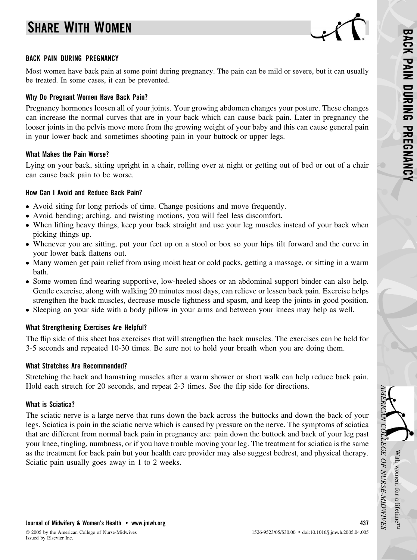# **SHARE WITH WOMEN**



### **BACK PAIN DURING PREGNANCY**

Most women have back pain at some point during pregnancy. The pain can be mild or severe, but it can usually be treated. In some cases, it can be prevented.

## **Why Do Pregnant Women Have Back Pain?**

Pregnancy hormones loosen all of your joints. Your growing abdomen changes your posture. These changes can increase the normal curves that are in your back which can cause back pain. Later in pregnancy the looser joints in the pelvis move more from the growing weight of your baby and this can cause general pain in your lower back and sometimes shooting pain in your buttock or upper legs.

### **What Makes the Pain Worse?**

Lying on your back, sitting upright in a chair, rolling over at night or getting out of bed or out of a chair can cause back pain to be worse.

### **How Can I Avoid and Reduce Back Pain?**

- Avoid siting for long periods of time. Change positions and move frequently.
- Avoid bending; arching, and twisting motions, you will feel less discomfort.
- When lifting heavy things, keep your back straight and use your leg muscles instead of your back when picking things up.
- Whenever you are sitting, put your feet up on a stool or box so your hips tilt forward and the curve in your lower back flattens out.
- Many women get pain relief from using moist heat or cold packs, getting a massage, or sitting in a warm bath.
- Some women find wearing supportive, low-heeled shoes or an abdominal support binder can also help. Gentle exercise, along with walking 20 minutes most days, can relieve or lessen back pain. Exercise helps strengthen the back muscles, decrease muscle tightness and spasm, and keep the joints in good position.
- Sleeping on your side with a body pillow in your arms and between your knees may help as well.

# **What Strengthening Exercises Are Helpful?**

The flip side of this sheet has exercises that will strengthen the back muscles. The exercises can be held for 3-5 seconds and repeated 10-30 times. Be sure not to hold your breath when you are doing them.

# **What Stretches Are Recommended?**

Stretching the back and hamstring muscles after a warm shower or short walk can help reduce back pain. Hold each stretch for 20 seconds, and repeat 2-3 times. See the flip side for directions.

#### **What is Sciatica?**

The sciatic nerve is a large nerve that runs down the back across the buttocks and down the back of your legs. Sciatica is pain in the sciatic nerve which is caused by pressure on the nerve. The symptoms of sciatica that are different from normal back pain in pregnancy are: pain down the buttock and back of your leg past your knee, tingling, numbness, or if you have trouble moving your leg. The treatment for sciatica is the same as the treatment for back pain but your health care provider may also suggest bedrest, and physical therapy. Sciatic pain usually goes away in 1 to 2 weeks.